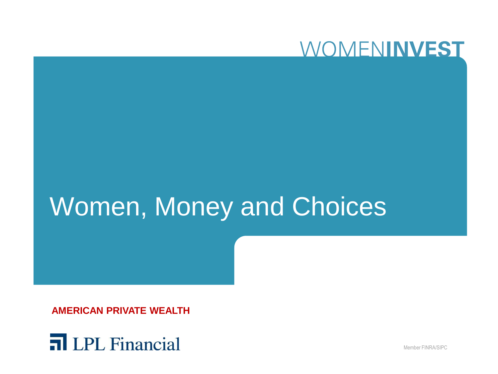

# Women, Money and Choices

**AMERICAN PRIVATE WEALTH**



Member FINRA/SIPC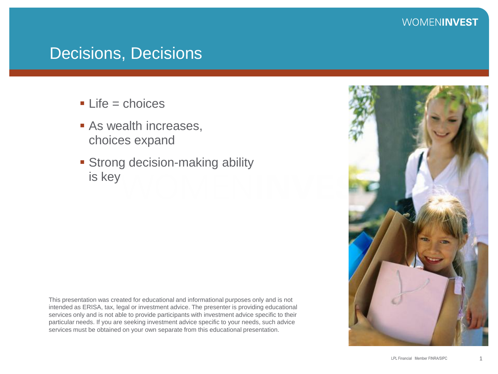### Decisions, Decisions

- $Life = choice$ s
- **As wealth increases,** choices expand
- **Strong decision-making ability** is key

This presentation was created for educational and informational purposes only and is not intended as ERISA, tax, legal or investment advice. The presenter is providing educational services only and is not able to provide participants with investment advice specific to their particular needs. If you are seeking investment advice specific to your needs, such advice services must be obtained on your own separate from this educational presentation.

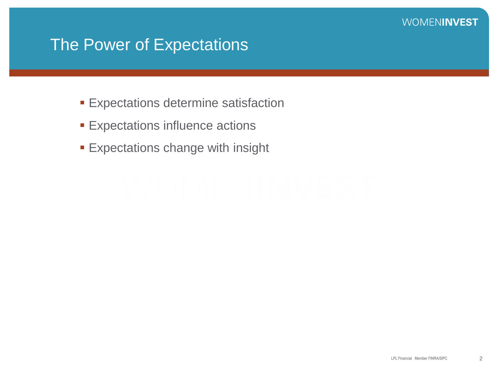### The Power of Expectations

- **Expectations determine satisfaction**
- **Expectations influence actions**
- **Expectations change with insight**

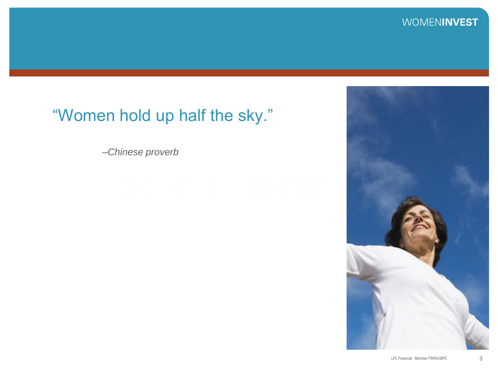### "Women hold up half the sky."

*–Chinese proverb* 

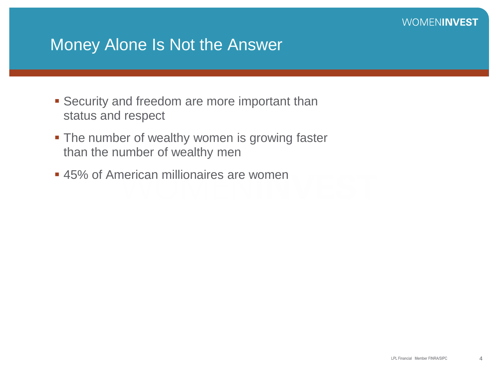### Money Alone Is Not the Answer

- **Security and freedom are more important than** status and respect
- The number of wealthy women is growing faster than the number of wealthy men
- **45% of American millionaires are women**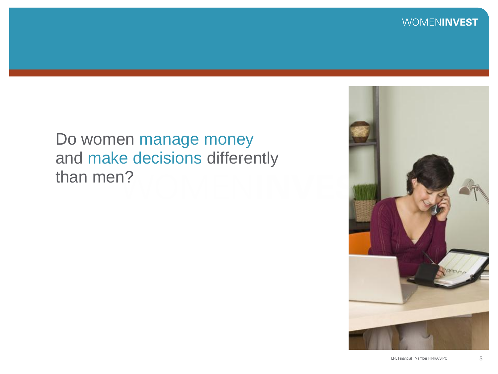

### Do women manage money and make decisions differently than men?

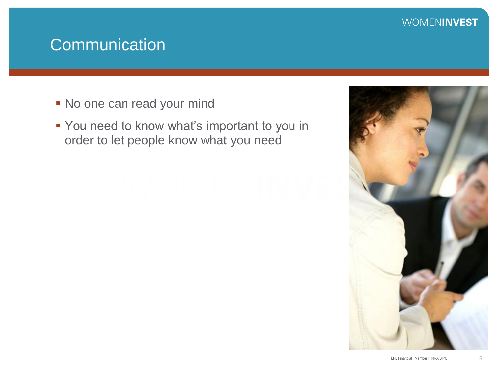### **Communication**

- No one can read your mind
- You need to know what's important to you in order to let people know what you need

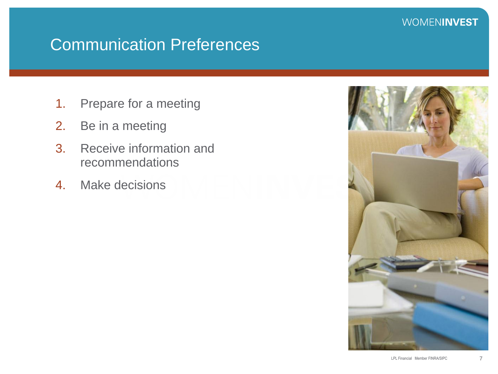## Communication Preferences

- 1. Prepare for a meeting
- 2. Be in a meeting
- 3. Receive information and recommendations
- 4. Make decisions

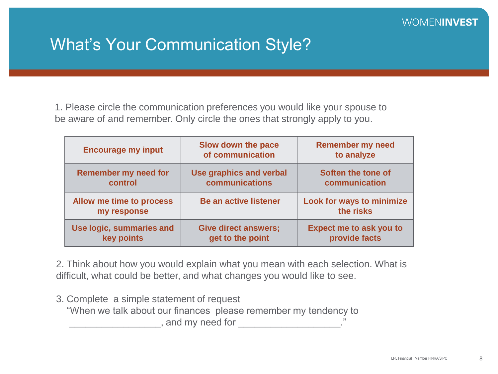### What's Your Communication Style?

1. Please circle the communication preferences you would like your spouse to be aware of and remember. Only circle the ones that strongly apply to you.

| <b>Encourage my input</b>               | Slow down the pace<br>of communication | <b>Remember my need</b><br>to analyze  |
|-----------------------------------------|----------------------------------------|----------------------------------------|
| <b>Remember my need for</b>             | <b>Use graphics and verbal</b>         | Soften the tone of                     |
| control                                 | communications                         | communication                          |
| Allow me time to process<br>my response | <b>Be an active listener</b>           | Look for ways to minimize<br>the risks |
| Use logic, summaries and                | <b>Give direct answers;</b>            | <b>Expect me to ask you to</b>         |
| key points                              | get to the point                       | provide facts                          |

2. Think about how you would explain what you mean with each selection. What is difficult, what could be better, and what changes you would like to see.

3. Complete a simple statement of request "When we talk about our finances please remember my tendency to  $\Box$ , and my need for  $\Box$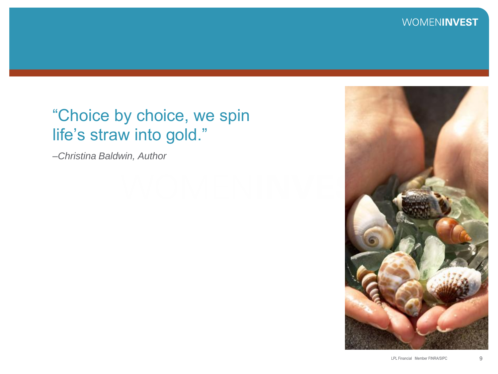### "Choice by choice, we spin life's straw into gold."

*–Christina Baldwin, Author*

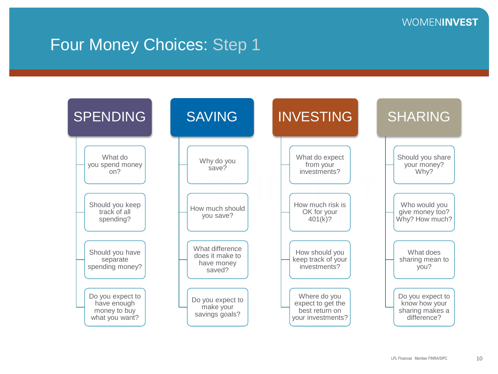### Four Money Choices: Step 1

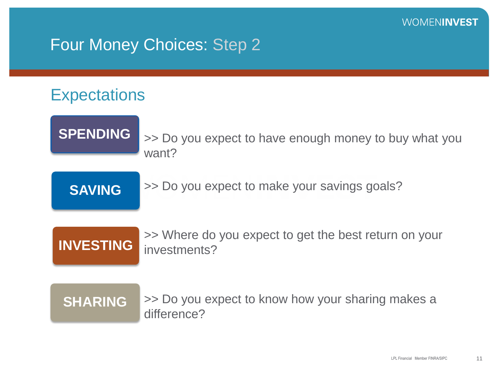### Four Money Choices: Step 2

### **Expectations**

**SPENDING**

>> Do you expect to have enough money to buy what you want?

**SAVING**

>> Do you expect to make your savings goals?



>> Where do you expect to get the best return on your investments?

**SHARING**

>> Do you expect to know how your sharing makes a difference?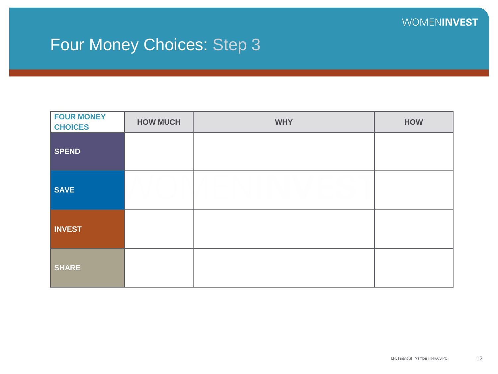## Four Money Choices: Step 3

| <b>FOUR MONEY</b><br><b>CHOICES</b> | <b>HOW MUCH</b> | <b>WHY</b> | <b>HOW</b> |
|-------------------------------------|-----------------|------------|------------|
| <b>SPEND</b>                        |                 |            |            |
| <b>SAVE</b>                         |                 |            |            |
| <b>INVEST</b>                       |                 |            |            |
| <b>SHARE</b>                        |                 |            |            |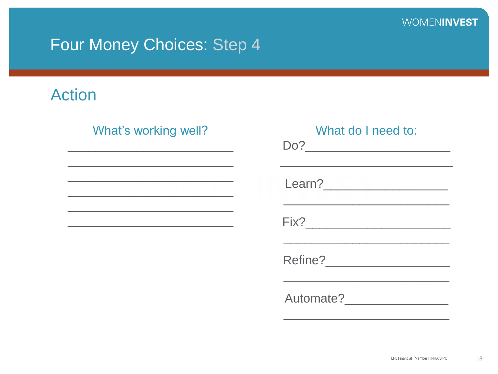### Four Money Choices: Step 4

### **Action**

### What's working well?

| What do I need to:                |
|-----------------------------------|
|                                   |
|                                   |
|                                   |
| Automate?<br><u>Les announces</u> |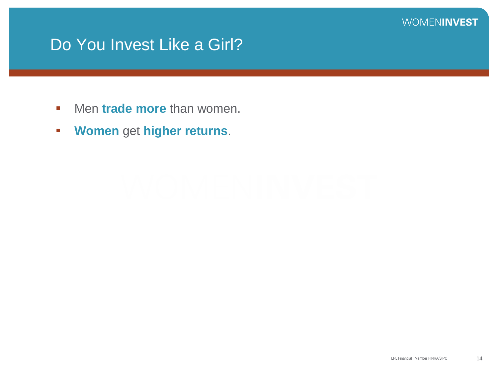### Do You Invest Like a Girl?

- **KED Men trade more than women.**
- **Women** get **higher returns**.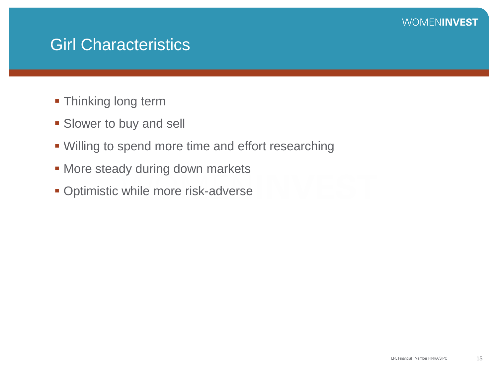### Girl Characteristics

- **Thinking long term**
- **Slower to buy and sell**
- **.** Willing to spend more time and effort researching
- **Nore steady during down markets**
- **Optimistic while more risk-adverse**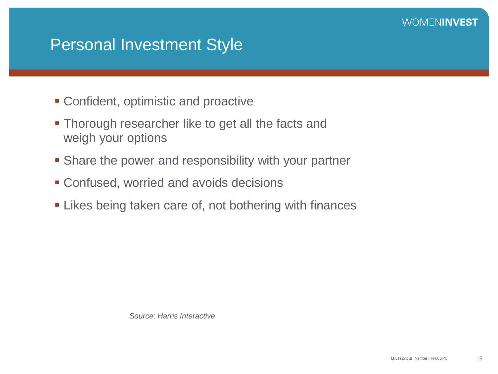### Personal Investment Style

- Confident, optimistic and proactive
- **Thorough researcher like to get all the facts and** weigh your options
- Share the power and responsibility with your partner
- Confused, worried and avoids decisions
- **Example 2** Likes being taken care of, not bothering with finances

*Source: Harris Interactive*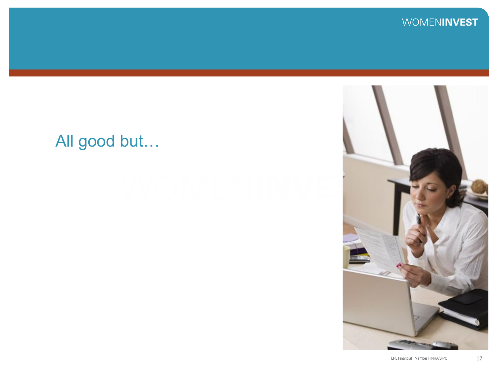## All good but…

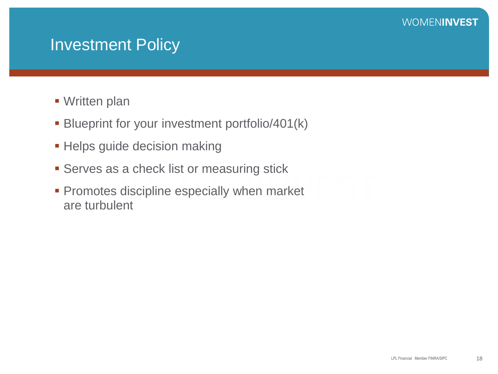### Investment Policy

- **Written plan**
- **Blueprint for your investment portfolio/401(k)**
- **Helps guide decision making**
- **Serves as a check list or measuring stick**
- **Promotes discipline especially when market** are turbulent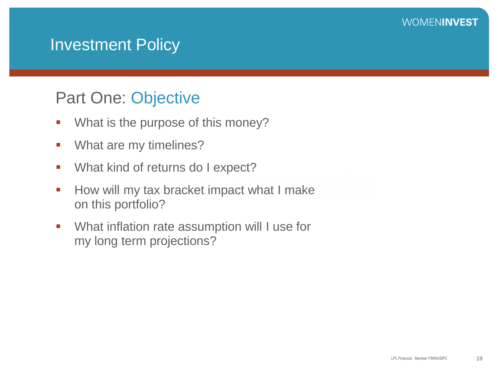### **Investment Policy**

### Part One: Objective

- **What is the purpose of this money?**
- **What are my timelines?**
- **What kind of returns do I expect?**
- **How will my tax bracket impact what I make** on this portfolio?
- What inflation rate assumption will I use for my long term projections?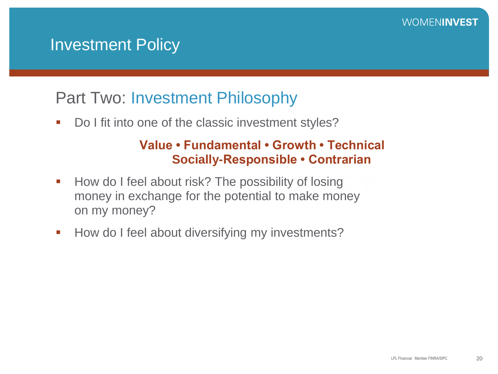### Investment Policy

### Part Two: Investment Philosophy

Do I fit into one of the classic investment styles?

### **Value • Fundamental • Growth • Technical Socially-Responsible • Contrarian**

- How do I feel about risk? The possibility of losing money in exchange for the potential to make money on my money?
- How do I feel about diversifying my investments?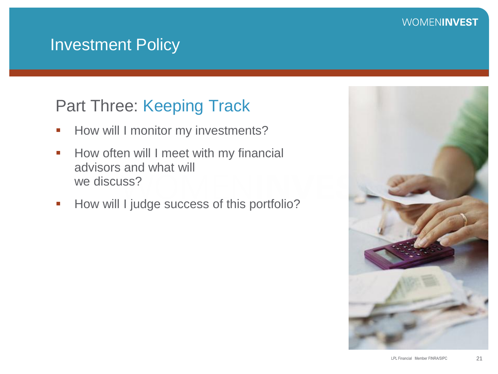### Investment Policy

### Part Three: Keeping Track

- **-** How will I monitor my investments?
- How often will I meet with my financial advisors and what will we discuss?
- How will I judge success of this portfolio?